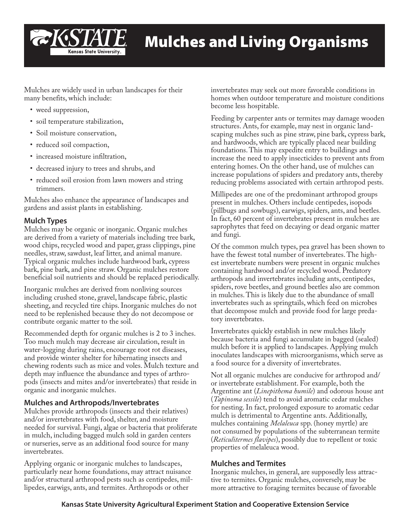

Mulches are widely used in urban landscapes for their many benefits, which include:

- weed suppression,
- soil temperature stabilization,
- Soil moisture conservation,
- reduced soil compaction,
- increased moisture infiltration,
- decreased injury to trees and shrubs, and
- reduced soil erosion from lawn mowers and string trimmers.

Mulches also enhance the appearance of landscapes and gardens and assist plants in establishing.

# **Mulch Types**

Mulches may be organic or inorganic. Organic mulches are derived from a variety of materials including tree bark, wood chips, recycled wood and paper, grass clippings, pine needles, straw, sawdust, leaf litter, and animal manure. Typical organic mulches include hardwood bark, cypress bark, pine bark, and pine straw. Organic mulches restore beneficial soil nutrients and should be replaced periodically.

Inorganic mulches are derived from nonliving sources including crushed stone, gravel, landscape fabric, plastic sheeting, and recycled tire chips. Inorganic mulches do not need to be replenished because they do not decompose or contribute organic matter to the soil.

Recommended depth for organic mulches is 2 to 3 inches. Too much mulch may decrease air circulation, result in water-logging during rains, encourage root rot diseases, and provide winter shelter for hibernating insects and chewing rodents such as mice and voles. Mulch texture and depth may influence the abundance and types of arthropods (insects and mites and/or invertebrates) that reside in organic and inorganic mulches.

# **Mulches and Arthropods/Invertebrates**

Mulches provide arthropods (insects and their relatives) and/or invertebrates with food, shelter, and moisture needed for survival. Fungi, algae or bacteria that proliferate in mulch, including bagged mulch sold in garden centers or nurseries, serve as an additional food source for many invertebrates.

Applying organic or inorganic mulches to landscapes, particularly near home foundations, may attract nuisance and/or structural arthropod pests such as centipedes, millipedes, earwigs, ants, and termites. Arthropods or other

invertebrates may seek out more favorable conditions in homes when outdoor temperature and moisture conditions become less hospitable.

Feeding by carpenter ants or termites may damage wooden structures. Ants, for example, may nest in organic landscaping mulches such as pine straw, pine bark, cypress bark, and hardwoods, which are typically placed near building foundations. This may expedite entry to buildings and increase the need to apply insecticides to prevent ants from entering homes. On the other hand, use of mulches can increase populations of spiders and predatory ants, thereby reducing problems associated with certain arthropod pests.

Millipedes are one of the predominant arthropod groups present in mulches. Others include centipedes, isopods (pillbugs and sowbugs), earwigs, spiders, ants, and beetles. In fact, 60 percent of invertebrates present in mulches are saprophytes that feed on decaying or dead organic matter and fungi.

Of the common mulch types, pea gravel has been shown to have the fewest total number of invertebrates. The highest invertebrate numbers were present in organic mulches containing hardwood and/or recycled wood. Predatory arthropods and invertebrates including ants, centipedes, spiders, rove beetles, and ground beetles also are common in mulches. This is likely due to the abundance of small invertebrates such as springtails, which feed on microbes that decompose mulch and provide food for large predatory invertebrates.

Invertebrates quickly establish in new mulches likely because bacteria and fungi accumulate in bagged (sealed) mulch before it is applied to landscapes. Applying mulch inoculates landscapes with microorganisms, which serve as a food source for a diversity of invertebrates.

Not all organic mulches are conducive for arthropod and/ or invertebrate establishment. For example, both the Argentine ant (*Linepithema humile*) and odorous house ant (*Tapinoma sessile*) tend to avoid aromatic cedar mulches for nesting. In fact, prolonged exposure to aromatic cedar mulch is detrimental to Argentine ants. Additionally, mulches containing *Melaleuca* spp. (honey myrtle) are not consumed by populations of the subterranean termite (*Reticulitermes flavipes*), possibly due to repellent or toxic properties of melaleuca wood.

# **Mulches and Termites**

Inorganic mulches, in general, are supposedly less attractive to termites. Organic mulches, conversely, may be more attractive to foraging termites because of favorable